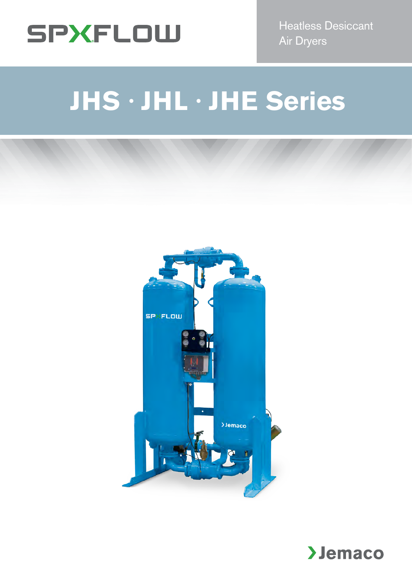

Heatless Desiccant Air Dryers

# **JHS · JHL · JHE Series**



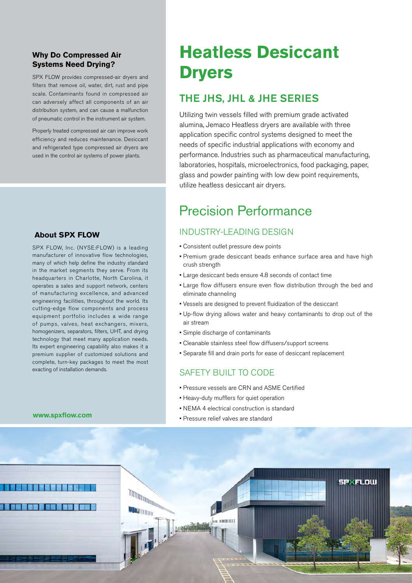#### **Why Do Compressed Air Systems Need Drying?**

SPX FLOW provides compressed-air dryers and filters that remove oil, water, dirt, rust and pipe scale. Contaminants found in compressed air can adversely affect all components of an air distribution system, and can cause a malfunction of pneumatic control in the instrument air system.

Properly treated compressed air can improve work efficiency and reduces maintenance. Desiccant and refrigerated type compressed air dryers are used in the control air systems of power plants.

#### **About SPX FLOW**

SPX FLOW, Inc. (NYSE:FLOW) is a leading manufacturer of innovative flow technologies, many of which help define the industry standard in the market segments they serve. From its headquarters in Charlotte, North Carolina, it operates a sales and support network, centers of manufacturing excellence, and advanced engineering facilities, throughout the world. Its cutting-edge flow components and process equipment portfolio includes a wide range of pumps, valves, heat exchangers, mixers, homogenizers, separators, filters, UHT, and drying technology that meet many application needs. Its expert engineering capability also makes it a premium supplier of customized solutions and complete, turn-key packages to meet the most exacting of installation demands.

# **Heatless Desiccant Dryers**

# THE JHS, JHL & JHE SERIES

Utilizing twin vessels filled with premium grade activated alumina, Jemaco Heatless dryers are available with three application specific control systems designed to meet the needs of specific industrial applications with economy and performance. Industries such as pharmaceutical manufacturing, laboratories, hospitals, microelectronics, food packaging, paper, glass and powder painting with low dew point requirements, utilize heatless desiccant air dryers.

# Precision Performance

# INDUSTRY-LEADING DESIGN

- Consistent outlet pressure dew points
- Premium grade desiccant beads enhance surface area and have high crush strength
- Large desiccant beds ensure 4.8 seconds of contact time
- Large flow diffusers ensure even flow distribution through the bed and eliminate channeling
- Vessels are designed to prevent fluidization of the desiccant
- Up-flow drying allows water and heavy contaminants to drop out of the air stream
- Simple discharge of contaminants
- Cleanable stainless steel flow diffusers/support screens
- Separate fill and drain ports for ease of desiccant replacement

### SAFETY BUILT TO CODE

- Pressure vessels are CRN and ASME Certified
- Heavy-duty mufflers for quiet operation
- NEMA 4 electrical construction is standard
- Pressure relief valves are standard



#### **www.spxflow.com**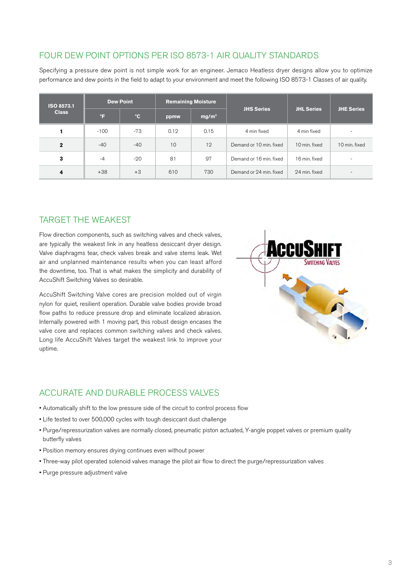### FOUR DEW POINT OPTIONS PER ISO 8573-1 AIR QUALITY STANDARDS

Specifying a pressure dew point is not simple work for an engineer. Jemaco Heatless dryer designs allow you to optimize performance and dew points in the field to adapt to your environment and meet the following ISO 8573-1 Classes of air quality.

| ISO 8573.1<br><b>Class</b> |        | <b>Dew Point</b> |      | <b>Remaining Moisture</b> |                         |                   | <b>JHE Series</b> |  |
|----------------------------|--------|------------------|------|---------------------------|-------------------------|-------------------|-------------------|--|
|                            | °F     | $^{\circ}$ C     | ppmw | mg/m <sup>3</sup>         | <b>JHS Series</b>       | <b>JHL Series</b> |                   |  |
|                            | $-100$ | -73              | 0.12 | 0.15                      | 4 min fixed             | 4 min fixed       |                   |  |
| $\mathbf{2}$               | $-40$  | $-40$            | 10   | 12                        | Demand or 10 min. fixed | 10 min. fixed     | 10 min. fixed     |  |
| 3                          | $-4$   | $-20$            | 81   | 97                        | Demand or 16 min. fixed | 16 min. fixed     | ۰                 |  |
| 4                          | $+38$  | $+3$             | 610  | 730                       | Demand or 24 min. fixed | 24 min. fixed     | -                 |  |

#### TARGET THE WEAKEST

Flow direction components, such as switching valves and check valves, are typically the weakest link in any heatless desiccant dryer design. Valve diaphragms tear, check valves break and valve stems leak. Wet air and unplanned maintenance results when you can least afford the downtime, too. That is what makes the simplicity and durability of AccuShift Switching Valves so desirable.

AccuShift Switching Valve cores are precision molded out of virgin nylon for quiet, resilient operation. Durable valve bodies provide broad flow paths to reduce pressure drop and eliminate localized abrasion. Internally powered with 1 moving part, this robust design encases the valve core and replaces common switching valves and check valves. Long life AccuShift Valves target the weakest link to improve your uptime.



## ACCURATE AND DURABLE PROCESS VALVES

- Automatically shift to the low pressure side of the circuit to control process flow
- Life tested to over 500,000 cycles with tough desiccant dust challenge
- Purge/repressurization valves are normally closed, pneumatic piston actuated, Y-angle poppet valves or premium quality butterfly valves
- Position memory ensures drying continues even without power
- Three-way pilot operated solenoid valves manage the pilot air flow to direct the purge/repressurization valves
- Purge pressure adjustment valve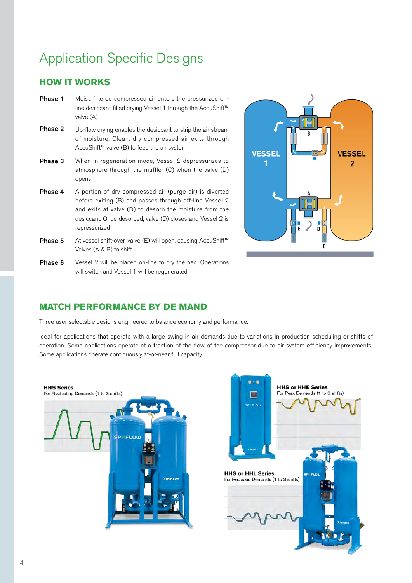# Application Specific Designs

### **HOW IT WORKS**

- Phase 1 Moist, filtered compressed air enters the pressurized online desiccant-filled drying Vessel 1 through the AccuShift™ valve (A)
- Phase 2 Up-flow drying enables the desiccant to strip the air stream of moisture. Clean, dry compressed air exits through AccuShift™ valve (B) to feed the air system
- Phase 3 When in regeneration mode, Vessel 2 depressurizes to atmosphere through the muffler (C) when the valve (D) opens
- Phase 4 A portion of dry compressed air (purge air) is diverted before exiting (B) and passes through off-line Vessel 2 and exits at valve (D) to desorb the moisture from the desiccant. Once desorbed, valve (D) closes and Vessel 2 is repressurized
- Phase 5 At vessel shift-over, valve (E) will open, causing AccuShift™ Valves (A & B) to shift
- Phase 6 Vessel 2 will be placed on-line to dry the bed. Operations will switch and Vessel 1 will be regenerated



### **MATCH PERFORMANCE BY DE MAND**

Three user selectable designs engineered to balance economy and performance.

Ideal for applications that operate with a large swing in air demands due to variations in production scheduling or shifts of operation. Some applications operate at a fraction of the flow of the compressor due to air system efficiency improvements. Some applications operate continuously at-or-near full capacity.



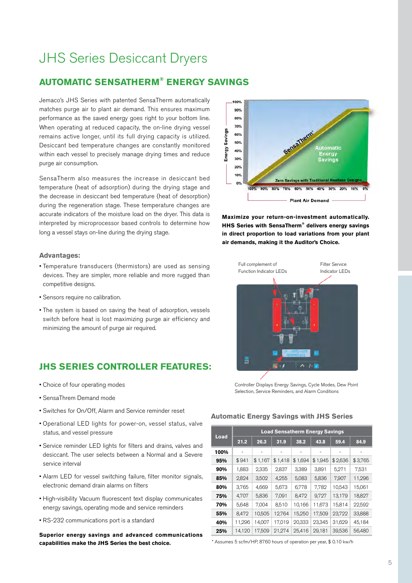# JHS Series Desiccant Dryers

### **AUTOMATIC SENSATHERM® ENERGY SAVINGS**

Jemaco's JHS Series with patented SensaTherm automatically matches purge air to plant air demand. This ensures maximum performance as the saved energy goes right to your bottom line. When operating at reduced capacity, the on-line drying vessel remains active longer, until its full drying capacity is utilized. Desiccant bed temperature changes are constantly monitored within each vessel to precisely manage drying times and reduce purge air consumption.

SensaTherm also measures the increase in desiccant bed temperature (heat of adsorption) during the drying stage and the decrease in desiccant bed temperature (heat of desorption) during the regeneration stage. These temperature changes are accurate indicators of the moisture load on the dryer. This data is interpreted by microprocessor based controls to determine how long a vessel stays on-line during the drying stage.

#### **Advantages:**

- Temperature transducers (thermistors) are used as sensing devices. They are simpler, more reliable and more rugged than competitive designs.
- Sensors require no calibration.
- The system is based on saving the heat of adsorption, vessels switch before heat is lost maximizing purge air efficiency and minimizing the amount of purge air required.

#### **JHS SERIES CONTROLLER FEATURES:**

- Choice of four operating modes
- SensaThrem Demand mode
- Switches for On/Off, Alarm and Service reminder reset
- Operational LED lights for power-on, vessel status, valve status, and vessel pressure
- Service reminder LED lights for filters and drains, valves and desiccant. The user selects between a Normal and a Severe service interval
- Alarm LED for vessel switching failure, filter monitor signals, electronic demand drain alarms on filters
- High-visibility Vacuum fluorescent text display communicates energy savings, operating mode and service reminders
- RS-232 communications port is a standard

**Superior energy savings and advanced communications capabilities make the JHS Series the best choice.**



**Maximize your return-on-investment automatically. HHS Series with SensaTherm® delivers energy savings in direct proportion to load variations from your plant air demands, making it the Auditor's Choice.**



Controller Displays Energy Savings, Cycle Modes, Dew Point Selection, Service Reminders, and Alarm Conditions

#### **Automatic Energy Savings with JHS Series**

|      | <b>Load Sensatherm Energy Savings</b> |         |         |         |         |         |         |  |  |  |  |  |  |
|------|---------------------------------------|---------|---------|---------|---------|---------|---------|--|--|--|--|--|--|
| Load | 21.2                                  | 26.3    | 31.9    | 38.2    | 43.8    | 59.4    | 84.9    |  |  |  |  |  |  |
| 100% | ۰                                     | ٠       | ۰       | ٠       |         |         |         |  |  |  |  |  |  |
| 95%  | \$941                                 | \$1,167 | \$1,418 | \$1,694 | \$1,945 | \$2,636 | \$3,765 |  |  |  |  |  |  |
| 90%  | 1,883                                 | 2,335   | 2,837   | 3,389   | 3,891   | 5,271   | 7,531   |  |  |  |  |  |  |
| 85%  | 2,824                                 | 3,502   | 4,255   | 5,083   | 5,836   | 7,907   | 11,296  |  |  |  |  |  |  |
| 80%  | 3,765                                 | 4,669   | 5,673   | 6,778   | 7,782   | 10,543  | 15,061  |  |  |  |  |  |  |
| 75%  | 4,707                                 | 5,836   | 7,091   | 8,472   | 9,727   | 13,179  | 18,827  |  |  |  |  |  |  |
| 70%  | 5,648                                 | 7,004   | 8,510   | 10,166  | 11,673  | 15,814  | 22,592  |  |  |  |  |  |  |
| 55%  | 8,472                                 | 10,505  | 12,764  | 15,250  | 17,509  | 23,722  | 33,888  |  |  |  |  |  |  |
| 40%  | 11,296                                | 14,007  | 17,019  | 20,333  | 23,345  | 31,629  | 45,184  |  |  |  |  |  |  |
| 25%  | 14,120                                | 17,509  | 21,274  | 25,416  | 29,181  | 39,536  | 56,480  |  |  |  |  |  |  |

\* Assumes 5 scfm/HP, 8760 hours of operation per year, \$ 0.10 kw/h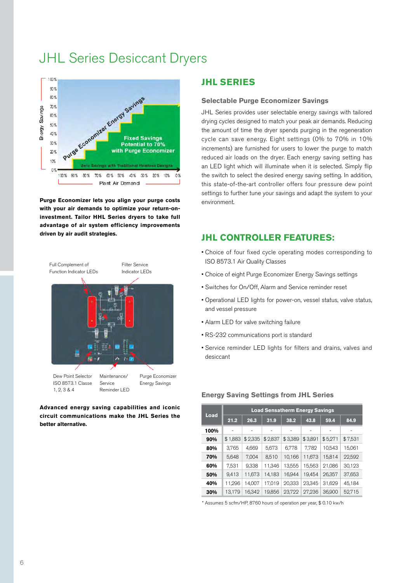# JHL Series Desiccant Dryers



**Purge Economizer lets you align your purge costs with your air demands to optimize your return-oninvestment. Tailor HHL Series dryers to take full advantage of air system efficiency improvements driven by air audit strategies.**



**Advanced energy saving capabilities and iconic circuit communications make the JHL Series the better alternative.**

#### **JHL SERIES**

#### **Selectable Purge Economizer Savings**

JHL Series provides user selectable energy savings with tailored drying cycles designed to match your peak air demands. Reducing the amount of time the dryer spends purging in the regeneration cycle can save energy. Eight settings (0% to 70% in 10% increments) are furnished for users to lower the purge to match reduced air loads on the dryer. Each energy saving setting has an LED light which will illuminate when it is selected. Simply flip the switch to select the desired energy saving setting. In addition, this state-of-the-art controller offers four pressure dew point settings to further tune your savings and adapt the system to your environment.

#### **JHL CONTROLLER FEATURES:**

- Choice of four fixed cycle operating modes corresponding to ISO 8573.1 Air Quality Classes
- Choice of eight Purge Economizer Energy Savings settings
- Switches for On/Off, Alarm and Service reminder reset
- Operational LED lights for power-on, vessel status, valve status, and vessel pressure
- Alarm LED for valve switching failure
- RS-232 communications port is standard
- Service reminder LED lights for filters and drains, valves and desiccant

| Load | <b>Load Sensatherm Energy Savings</b> |         |         |         |         |         |         |  |  |  |  |  |  |
|------|---------------------------------------|---------|---------|---------|---------|---------|---------|--|--|--|--|--|--|
|      | 21.2                                  | 26.3    | 31.9    | 38.2    | 43.8    | 59.4    | 84.9    |  |  |  |  |  |  |
| 100% |                                       |         |         |         |         |         |         |  |  |  |  |  |  |
| 90%  | \$1.883                               | \$2,335 | \$2,837 | \$3,389 | \$3,891 | \$5,271 | \$7,531 |  |  |  |  |  |  |
| 80%  | 3,765                                 | 4,669   | 5,673   | 6,778   | 7,782   | 10,543  | 15,061  |  |  |  |  |  |  |
| 70%  | 5,648                                 | 7.004   | 8,510   | 10,166  | 11,673  | 15,814  | 22,592  |  |  |  |  |  |  |
| 60%  | 7,531                                 | 9,338   | 11,346  | 13,555  | 15,563  | 21,086  | 30,123  |  |  |  |  |  |  |
| 50%  | 9,413                                 | 11,673  | 14,183  | 16.944  | 19.454  | 26.357  | 37,653  |  |  |  |  |  |  |
| 40%  | 11,296                                | 14,007  | 17.019  | 20,333  | 23,345  | 31,629  | 45,184  |  |  |  |  |  |  |
| 30%  | 13.179                                | 16.342  | 19.856  | 23,722  | 27.236  | 36.900  | 52,715  |  |  |  |  |  |  |

#### **Energy Saving Settings from JHL Series**

\* Assumes 5 scfm/HP, 8760 hours of operation per year, \$ 0.10 kw/h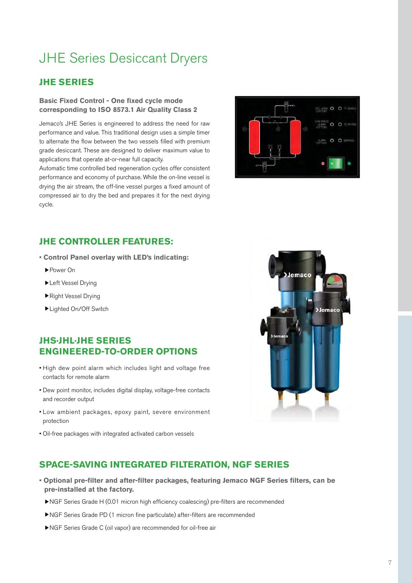# JHE Series Desiccant Dryers

### **JHE SERIES**

#### **Basic Fixed Control - One fixed cycle mode corresponding to ISO 8573.1 Air Quality Class 2**

Jemaco's JHE Series is engineered to address the need for raw performance and value. This traditional design uses a simple timer to alternate the flow between the two vessels filled with premium grade desiccant. These are designed to deliver maximum value to applications that operate at-or-near full capacity.

Automatic time controlled bed regeneration cycles offer consistent performance and economy of purchase. While the on-line vessel is drying the air stream, the off-line vessel purges a fixed amount of compressed air to dry the bed and prepares it for the next drying cycle.



### **JHE CONTROLLER FEATURES:**

- **Control Panel overlay with LED's indicating:**
	- ▶Power On
	- ▶Left Vessel Drying
	- ▶Right Vessel Drying
	- ▶Lighted On/Off Switch

#### **JHS·JHL·JHE SERIES ENGINEERED-TO-ORDER OPTIONS**

- High dew point alarm which includes light and voltage free contacts for remote alarm
- Dew point monitor, includes digital display, voltage-free contacts and recorder output
- Low ambient packages, epoxy paint, severe environment protection
- Oil-free packages with integrated activated carbon vessels



### **SPACE-SAVING INTEGRATED FILTERATION, NGF SERIES**

- **Optional pre-filter and after-filter packages, featuring Jemaco NGF Series filters, can be pre-installed at the factory.**
	- ▶NGF Series Grade H (0.01 micron high efficiency coalescing) pre-filters are recommended
	- ▶NGF Series Grade PD (1 micron fine particulate) after-filters are recommended
	- ▶NGF Series Grade C (oil vapor) are recommended for oil-free air